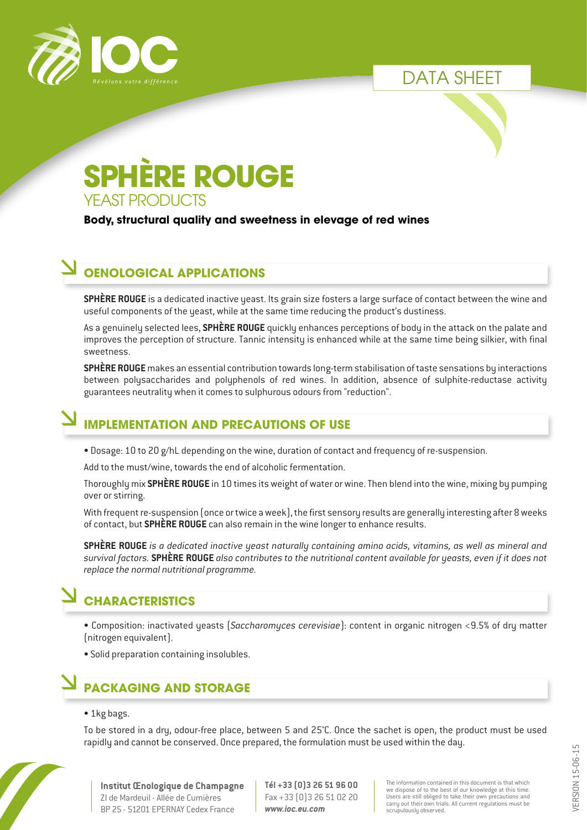

DATA SHEET

# YEAST PRODUCTS **SPHÈRE ROUGE**

#### **Body, structural quality and sweetness in elevage of red wines**

### **OENOLOGICAL APPLICATIONS**

**SPHÈRE ROUGE** is a dedicated inactive yeast. Its grain size fosters a large surface of contact between the wine and useful components of the yeast, while at the same time reducing the product's dustiness.

As a genuinely selected lees, **SPHÈRE ROUGE** quickly enhances perceptions of body in the attack on the palate and improves the perception of structure. Tannic intensity is enhanced while at the same time being silkier, with final sweetness.

**SPHÈRE ROUGE** makes an essential contribution towards long-term stabilisation of taste sensations by interactions between polysaccharides and polyphenols of red wines. In addition, absence of sulphite-reductase activity guarantees neutrality when it comes to sulphurous odours from "reduction".

## **IMPLEMENTATION AND PRECAUTIONS OF USE**

• Dosage: 10 to 20 g/hL depending on the wine, duration of contact and frequency of re-suspension.

Add to the must/wine, towards the end of alcoholic fermentation.

Thoroughly mix **SPHÈRE ROUGE** in 10 times its weight of water or wine. Then blend into the wine, mixing by pumping over or stirring.

With frequent re-suspension (once or twice a week), the first sensory results are generally interesting after 8 weeks of contact, but **SPHÈRE ROUGE** can also remain in the wine longer to enhance results.

**SPHÈRE ROUGE** *is a dedicated inactive yeast naturally containing amino acids, vitamins, as well as mineral and survival factors.* **SPHÈRE ROUGE** *also contributes to the nutritional content available for yeasts, even if it does not replace the normal nutritional programme.*

## **CHARACTERISTICS**

• Composition: inactivated yeasts (*Saccharomyces cerevisiae*): content in organic nitrogen <9.5% of dry matter (nitrogen equivalent).

• Solid preparation containing insolubles.

## **PACKAGING AND STORAGE**

#### • 1kg bags.

To be stored in a dry, odour-free place, between 5 and 25°C. Once the sachet is open, the product must be used rapidly and cannot be conserved. Once prepared, the formulation must be used within the day.



**Institut Œnologique de Champagne** ZI de Mardeuil - Allée de Cumières BP 25 - 51201 EPERNAY Cedex France

**Tél +33 (0)3 26 51 96 00** Fax +33 (0)3 26 51 02 20 *www.ioc.eu.com*

The information contained in this document is that which we dispose of to the best of our knowledge at this time. Users are still obliged to take their own precautions and carry out their own trials. All current regulations must be scrupulously observed.